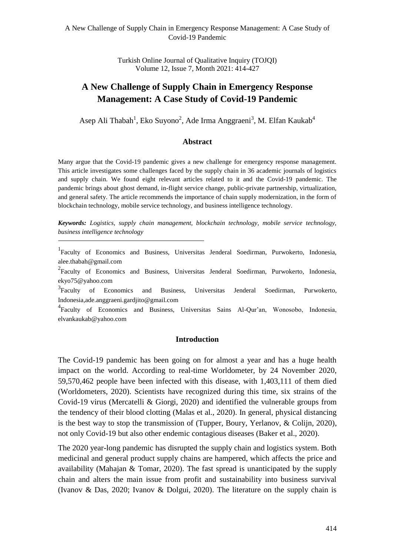Turkish Online Journal of Qualitative Inquiry (TOJQI) Volume 12, Issue 7, Month 2021: 414-427

# **A New Challenge of Supply Chain in Emergency Response Management: A Case Study of Covid-19 Pandemic**

Asep Ali Thabah<sup>1</sup>, Eko Suyono<sup>2</sup>, Ade Irma Anggraeni<sup>3</sup>, M. Elfan Kaukab<sup>4</sup>

## **Abstract**

Many argue that the Covid-19 pandemic gives a new challenge for emergency response management. This article investigates some challenges faced by the supply chain in 36 academic journals of logistics and supply chain. We found eight relevant articles related to it and the Covid-19 pandemic. The pandemic brings about ghost demand, in-flight service change, public-private partnership, virtualization, and general safety. The article recommends the importance of chain supply modernization, in the form of blockchain technology, mobile service technology, and business intelligence technology.

*Keywords: Logistics, supply chain management, blockchain technology, mobile service technology, business intelligence technology*

<sup>1</sup>Faculty of Economics and Business, Universitas Jenderal Soedirman, Purwokerto, Indonesia, alee.thabah@gmail.com

<sup>2</sup> Faculty of Economics and Business, Universitas Jenderal Soedirman, Purwokerto, Indonesia, ekyo75@yahoo.com

<sup>3</sup> Faculty of Economics and Business, Universitas Jenderal Soedirman, Purwokerto, Indonesia,ade.anggraeni.gardjito@gmail.com

4 Faculty of Economics and Business, Universitas Sains Al-Qur'an, Wonosobo, Indonesia, elvankaukab@yahoo.com

### **Introduction**

The Covid-19 pandemic has been going on for almost a year and has a huge health impact on the world. According to real-time Worldometer, by 24 November 2020, 59,570,462 people have been infected with this disease, with 1,403,111 of them died (Worldometers, 2020). Scientists have recognized during this time, six strains of the Covid-19 virus (Mercatelli & Giorgi, 2020) and identified the vulnerable groups from the tendency of their blood clotting (Malas et al., 2020). In general, physical distancing is the best way to stop the transmission of (Tupper, Boury, Yerlanov, & Colijn, 2020), not only Covid-19 but also other endemic contagious diseases (Baker et al., 2020).

The 2020 year-long pandemic has disrupted the supply chain and logistics system. Both medicinal and general product supply chains are hampered, which affects the price and availability (Mahajan & Tomar, 2020). The fast spread is unanticipated by the supply chain and alters the main issue from profit and sustainability into business survival (Ivanov & Das, 2020; Ivanov & Dolgui, 2020). The literature on the supply chain is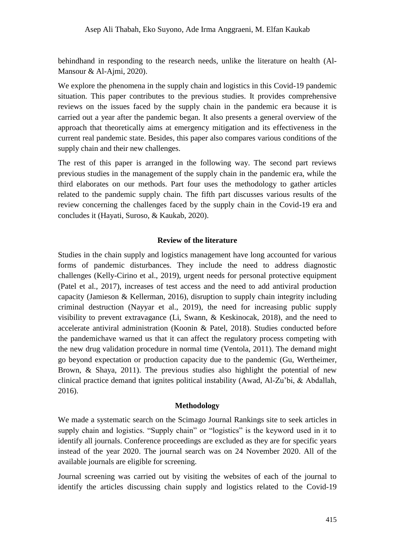behindhand in responding to the research needs, unlike the literature on health (Al-Mansour & Al-Ajmi, 2020).

We explore the phenomena in the supply chain and logistics in this Covid-19 pandemic situation. This paper contributes to the previous studies. It provides comprehensive reviews on the issues faced by the supply chain in the pandemic era because it is carried out a year after the pandemic began. It also presents a general overview of the approach that theoretically aims at emergency mitigation and its effectiveness in the current real pandemic state. Besides, this paper also compares various conditions of the supply chain and their new challenges.

The rest of this paper is arranged in the following way. The second part reviews previous studies in the management of the supply chain in the pandemic era, while the third elaborates on our methods. Part four uses the methodology to gather articles related to the pandemic supply chain. The fifth part discusses various results of the review concerning the challenges faced by the supply chain in the Covid-19 era and concludes it (Hayati, Suroso, & Kaukab, 2020).

## **Review of the literature**

Studies in the chain supply and logistics management have long accounted for various forms of pandemic disturbances. They include the need to address diagnostic challenges (Kelly-Cirino et al., 2019), urgent needs for personal protective equipment (Patel et al., 2017), increases of test access and the need to add antiviral production capacity (Jamieson & Kellerman, 2016), disruption to supply chain integrity including criminal destruction (Nayyar et al., 2019), the need for increasing public supply visibility to prevent extravagance (Li, Swann, & Keskinocak, 2018), and the need to accelerate antiviral administration (Koonin & Patel, 2018). Studies conducted before the pandemichave warned us that it can affect the regulatory process competing with the new drug validation procedure in normal time (Ventola, 2011). The demand might go beyond expectation or production capacity due to the pandemic (Gu, Wertheimer, Brown, & Shaya, 2011). The previous studies also highlight the potential of new clinical practice demand that ignites political instability (Awad, Al-Zu'bi, & Abdallah, 2016).

## **Methodology**

We made a systematic search on the Scimago Journal Rankings site to seek articles in supply chain and logistics. "Supply chain" or "logistics" is the keyword used in it to identify all journals. Conference proceedings are excluded as they are for specific years instead of the year 2020. The journal search was on 24 November 2020. All of the available journals are eligible for screening.

Journal screening was carried out by visiting the websites of each of the journal to identify the articles discussing chain supply and logistics related to the Covid-19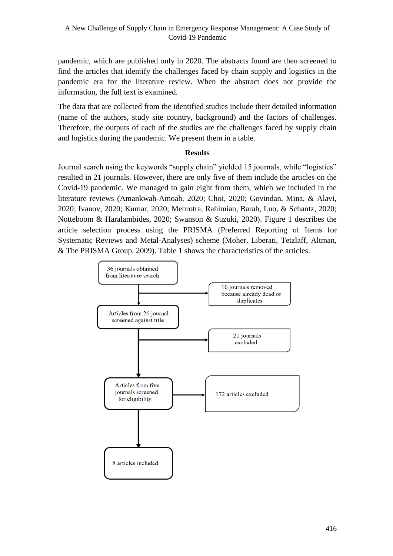pandemic, which are published only in 2020. The abstracts found are then screened to find the articles that identify the challenges faced by chain supply and logistics in the pandemic era for the literature review. When the abstract does not provide the information, the full text is examined.

The data that are collected from the identified studies include their detailed information (name of the authors, study site country, background) and the factors of challenges. Therefore, the outputs of each of the studies are the challenges faced by supply chain and logistics during the pandemic. We present them in a table.

# **Results**

Journal search using the keywords "supply chain" yielded 15 journals, while "logistics" resulted in 21 journals. However, there are only five of them include the articles on the Covid-19 pandemic. We managed to gain eight from them, which we included in the literature reviews (Amankwah-Amoah, 2020; Choi, 2020; Govindan, Mina, & Alavi, 2020; Ivanov, 2020; Kumar, 2020; Mehrotra, Rahimian, Barah, Luo, & Schantz, 2020; Notteboom & Haralambides, 2020; Swanson & Suzuki, 2020). Figure 1 describes the article selection process using the PRISMA (Preferred Reporting of Items for Systematic Reviews and Metal-Analyses) scheme (Moher, Liberati, Tetzlaff, Altman, & The PRISMA Group, 2009). Table 1 shows the characteristics of the articles.

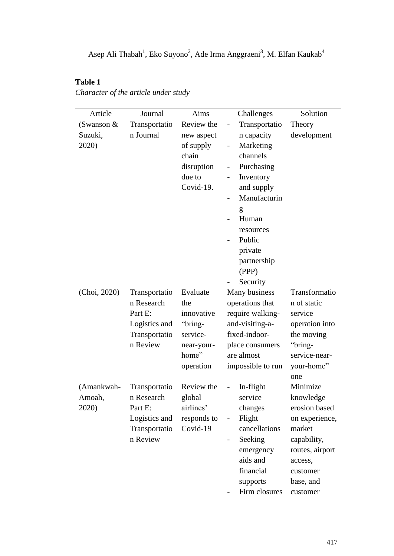# **Table 1**

*Character of the article under study*

| Article       | Journal       | Aims        | Challenges                                | Solution        |  |  |
|---------------|---------------|-------------|-------------------------------------------|-----------------|--|--|
| (Swanson $\&$ | Transportatio | Review the  | Transportatio<br>$\overline{\phantom{0}}$ | Theory          |  |  |
| Suzuki,       | n Journal     | new aspect  | n capacity<br>development                 |                 |  |  |
| 2020)         |               | of supply   | Marketing<br>$\overline{\phantom{0}}$     |                 |  |  |
|               |               | chain       | channels                                  |                 |  |  |
|               |               | disruption  | Purchasing                                |                 |  |  |
|               |               | due to      | Inventory                                 |                 |  |  |
|               |               | Covid-19.   | and supply                                |                 |  |  |
|               |               |             | Manufacturin                              |                 |  |  |
|               |               |             | g                                         |                 |  |  |
|               |               |             | Human                                     |                 |  |  |
|               |               |             | resources                                 |                 |  |  |
|               |               |             | Public                                    |                 |  |  |
|               |               |             | private                                   |                 |  |  |
|               |               |             | partnership                               |                 |  |  |
|               |               |             | (PPP)                                     |                 |  |  |
|               |               |             | Security                                  |                 |  |  |
| (Choi, 2020)  | Transportatio | Evaluate    | Many business                             | Transformatio   |  |  |
|               | n Research    | the         | operations that                           | n of static     |  |  |
|               | Part E:       | innovative  | require walking-                          | service         |  |  |
|               | Logistics and | "bring-     | and-visiting-a-                           | operation into  |  |  |
|               | Transportatio | service-    | fixed-indoor-                             | the moving      |  |  |
|               | n Review      | near-your-  | place consumers                           | "bring-         |  |  |
|               |               | home"       | are almost                                | service-near-   |  |  |
|               |               | operation   | impossible to run                         | your-home"      |  |  |
|               |               |             |                                           | one             |  |  |
| (Amankwah-    | Transportatio | Review the  | In-flight<br>$\overline{\phantom{0}}$     | Minimize        |  |  |
| Amoah,        | n Research    | global      | service                                   | knowledge       |  |  |
| 2020)         | Part E:       | airlines'   | changes                                   | erosion based   |  |  |
|               | Logistics and | responds to | Flight<br>$\overline{\phantom{0}}$        | on experience,  |  |  |
|               | Transportatio | Covid-19    | cancellations                             | market          |  |  |
|               | n Review      |             | Seeking                                   | capability,     |  |  |
|               |               |             | emergency                                 | routes, airport |  |  |
|               |               |             | aids and                                  | access,         |  |  |
|               |               |             | financial                                 | customer        |  |  |
|               |               |             | supports                                  | base, and       |  |  |
|               |               |             | Firm closures                             | customer        |  |  |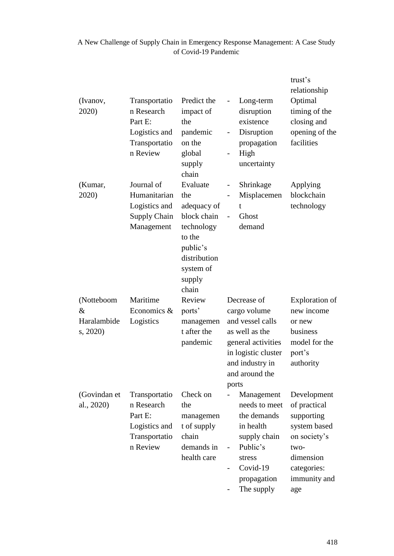| (Ivanov,<br>2020)                            | Transportatio<br>n Research<br>Part E:<br>Logistics and<br>Transportatio<br>n Review | Predict the<br>impact of<br>the<br>pandemic<br>on the<br>global<br>supply<br>chain                                                | Long-term<br>$\overline{\phantom{0}}$<br>disruption<br>existence<br>Disruption<br>$\blacksquare$<br>propagation<br>High<br>$\overline{\phantom{0}}$<br>uncertainty | trust's<br>relationship<br>Optimal<br>timing of the<br>closing and<br>opening of the<br>facilities                                   |
|----------------------------------------------|--------------------------------------------------------------------------------------|-----------------------------------------------------------------------------------------------------------------------------------|--------------------------------------------------------------------------------------------------------------------------------------------------------------------|--------------------------------------------------------------------------------------------------------------------------------------|
| (Kumar,<br>2020)                             | Journal of<br>Humanitarian<br>Logistics and<br>Supply Chain<br>Management            | Evaluate<br>the<br>adequacy of<br>block chain<br>technology<br>to the<br>public's<br>distribution<br>system of<br>supply<br>chain | Shrinkage<br>$\overline{\phantom{0}}$<br>Misplacemen<br>t<br>Ghost<br>$\overline{\phantom{a}}$<br>demand                                                           | Applying<br>blockchain<br>technology                                                                                                 |
| (Notteboom<br>$\&$<br>Haralambide<br>s, 2020 | Maritime<br>Economics $\&$<br>Logistics                                              | Review<br>ports'<br>managemen<br>t after the<br>pandemic                                                                          | Decrease of<br>cargo volume<br>and vessel calls<br>as well as the<br>general activities<br>in logistic cluster<br>and industry in<br>and around the<br>ports       | <b>Exploration</b> of<br>new income<br>or new<br>business<br>model for the<br>port's<br>authority                                    |
| (Govindan et<br>al., 2020)                   | Transportatio<br>n Research<br>Part E:<br>Logistics and<br>Transportatio<br>n Review | Check on<br>the<br>managemen<br>t of supply<br>chain<br>demands in<br>health care                                                 | Management<br>needs to meet<br>the demands<br>in health<br>supply chain<br>Public's<br>stress<br>Covid-19<br>$\overline{\phantom{0}}$<br>propagation<br>The supply | Development<br>of practical<br>supporting<br>system based<br>on society's<br>two-<br>dimension<br>categories:<br>immunity and<br>age |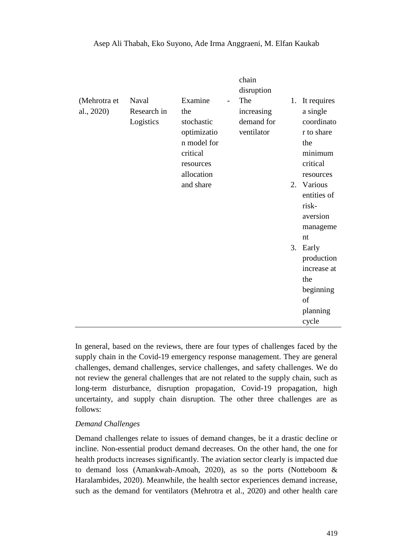| (Mehrotra et<br>al., 2020) | Naval<br>Research in<br>Logistics | Examine<br>$\overline{a}$<br>the<br>stochastic<br>optimizatio<br>n model for | chain<br>disruption<br>The<br>increasing<br>demand for<br>ventilator | 1. | It requires<br>a single<br>coordinato<br>r to share<br>the |
|----------------------------|-----------------------------------|------------------------------------------------------------------------------|----------------------------------------------------------------------|----|------------------------------------------------------------|
|                            |                                   | critical<br>resources<br>allocation                                          |                                                                      |    | minimum<br>critical<br>resources                           |
|                            |                                   | and share                                                                    |                                                                      |    | 2. Various<br>entities of<br>risk-                         |
|                            |                                   |                                                                              |                                                                      |    | aversion<br>manageme<br>nt                                 |
|                            |                                   |                                                                              |                                                                      | 3. | Early<br>production                                        |
|                            |                                   |                                                                              |                                                                      |    | increase at<br>the                                         |
|                            |                                   |                                                                              |                                                                      |    | beginning                                                  |
|                            |                                   |                                                                              |                                                                      |    | of                                                         |
|                            |                                   |                                                                              |                                                                      |    | planning<br>cycle                                          |

#### Asep Ali Thabah, Eko Suyono, Ade Irma Anggraeni, M. Elfan Kaukab

In general, based on the reviews, there are four types of challenges faced by the supply chain in the Covid-19 emergency response management. They are general challenges, demand challenges, service challenges, and safety challenges. We do not review the general challenges that are not related to the supply chain, such as long-term disturbance, disruption propagation, Covid-19 propagation, high uncertainty, and supply chain disruption. The other three challenges are as follows:

#### *Demand Challenges*

Demand challenges relate to issues of demand changes, be it a drastic decline or incline. Non-essential product demand decreases. On the other hand, the one for health products increases significantly. The aviation sector clearly is impacted due to demand loss (Amankwah-Amoah, 2020), as so the ports (Notteboom & Haralambides, 2020). Meanwhile, the health sector experiences demand increase, such as the demand for ventilators (Mehrotra et al., 2020) and other health care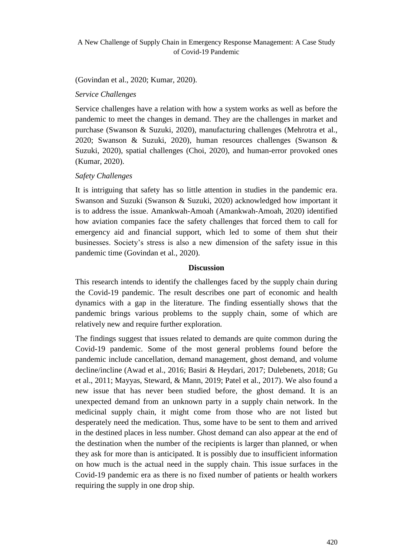(Govindan et al., 2020; Kumar, 2020).

*Service Challenges*

Service challenges have a relation with how a system works as well as before the pandemic to meet the changes in demand. They are the challenges in market and purchase (Swanson & Suzuki, 2020), manufacturing challenges (Mehrotra et al., 2020; Swanson & Suzuki, 2020), human resources challenges (Swanson & Suzuki, 2020), spatial challenges (Choi, 2020), and human-error provoked ones (Kumar, 2020).

# *Safety Challenges*

It is intriguing that safety has so little attention in studies in the pandemic era. Swanson and Suzuki (Swanson & Suzuki, 2020) acknowledged how important it is to address the issue. Amankwah-Amoah (Amankwah-Amoah, 2020) identified how aviation companies face the safety challenges that forced them to call for emergency aid and financial support, which led to some of them shut their businesses. Society's stress is also a new dimension of the safety issue in this pandemic time (Govindan et al., 2020).

## **Discussion**

This research intends to identify the challenges faced by the supply chain during the Covid-19 pandemic. The result describes one part of economic and health dynamics with a gap in the literature. The finding essentially shows that the pandemic brings various problems to the supply chain, some of which are relatively new and require further exploration.

The findings suggest that issues related to demands are quite common during the Covid-19 pandemic. Some of the most general problems found before the pandemic include cancellation, demand management, ghost demand, and volume decline/incline (Awad et al., 2016; Basiri & Heydari, 2017; Dulebenets, 2018; Gu et al., 2011; Mayyas, Steward, & Mann, 2019; Patel et al., 2017). We also found a new issue that has never been studied before, the ghost demand. It is an unexpected demand from an unknown party in a supply chain network. In the medicinal supply chain, it might come from those who are not listed but desperately need the medication. Thus, some have to be sent to them and arrived in the destined places in less number. Ghost demand can also appear at the end of the destination when the number of the recipients is larger than planned, or when they ask for more than is anticipated. It is possibly due to insufficient information on how much is the actual need in the supply chain. This issue surfaces in the Covid-19 pandemic era as there is no fixed number of patients or health workers requiring the supply in one drop ship.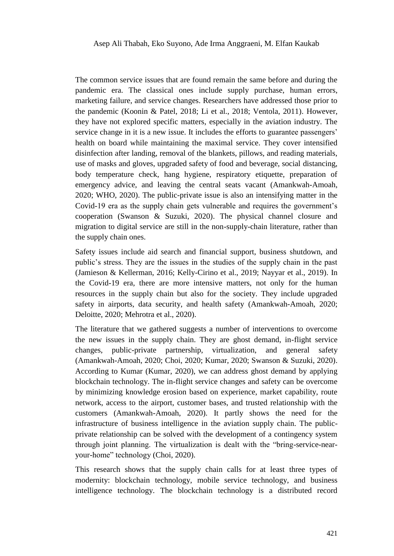The common service issues that are found remain the same before and during the pandemic era. The classical ones include supply purchase, human errors, marketing failure, and service changes. Researchers have addressed those prior to the pandemic (Koonin & Patel, 2018; Li et al., 2018; Ventola, 2011). However, they have not explored specific matters, especially in the aviation industry. The service change in it is a new issue. It includes the efforts to guarantee passengers' health on board while maintaining the maximal service. They cover intensified disinfection after landing, removal of the blankets, pillows, and reading materials, use of masks and gloves, upgraded safety of food and beverage, social distancing, body temperature check, hang hygiene, respiratory etiquette, preparation of emergency advice, and leaving the central seats vacant (Amankwah-Amoah, 2020; WHO, 2020). The public-private issue is also an intensifying matter in the Covid-19 era as the supply chain gets vulnerable and requires the government's cooperation (Swanson & Suzuki, 2020). The physical channel closure and migration to digital service are still in the non-supply-chain literature, rather than the supply chain ones.

Safety issues include aid search and financial support, business shutdown, and public's stress. They are the issues in the studies of the supply chain in the past (Jamieson & Kellerman, 2016; Kelly-Cirino et al., 2019; Nayyar et al., 2019). In the Covid-19 era, there are more intensive matters, not only for the human resources in the supply chain but also for the society. They include upgraded safety in airports, data security, and health safety (Amankwah-Amoah, 2020; Deloitte, 2020; Mehrotra et al., 2020).

The literature that we gathered suggests a number of interventions to overcome the new issues in the supply chain. They are ghost demand, in-flight service changes, public-private partnership, virtualization, and general safety (Amankwah-Amoah, 2020; Choi, 2020; Kumar, 2020; Swanson & Suzuki, 2020). According to Kumar (Kumar, 2020), we can address ghost demand by applying blockchain technology. The in-flight service changes and safety can be overcome by minimizing knowledge erosion based on experience, market capability, route network, access to the airport, customer bases, and trusted relationship with the customers (Amankwah-Amoah, 2020). It partly shows the need for the infrastructure of business intelligence in the aviation supply chain. The publicprivate relationship can be solved with the development of a contingency system through joint planning. The virtualization is dealt with the "bring-service-nearyour-home" technology (Choi, 2020).

This research shows that the supply chain calls for at least three types of modernity: blockchain technology, mobile service technology, and business intelligence technology. The blockchain technology is a distributed record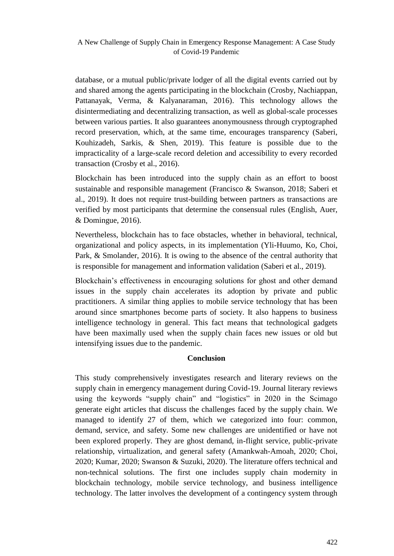database, or a mutual public/private lodger of all the digital events carried out by and shared among the agents participating in the blockchain (Crosby, Nachiappan, Pattanayak, Verma, & Kalyanaraman, 2016). This technology allows the disintermediating and decentralizing transaction, as well as global-scale processes between various parties. It also guarantees anonymousness through cryptographed record preservation, which, at the same time, encourages transparency (Saberi, Kouhizadeh, Sarkis, & Shen, 2019). This feature is possible due to the impracticality of a large-scale record deletion and accessibility to every recorded transaction (Crosby et al., 2016).

Blockchain has been introduced into the supply chain as an effort to boost sustainable and responsible management (Francisco & Swanson, 2018; Saberi et al., 2019). It does not require trust-building between partners as transactions are verified by most participants that determine the consensual rules (English, Auer, & Domingue, 2016).

Nevertheless, blockchain has to face obstacles, whether in behavioral, technical, organizational and policy aspects, in its implementation (Yli-Huumo, Ko, Choi, Park, & Smolander, 2016). It is owing to the absence of the central authority that is responsible for management and information validation (Saberi et al., 2019).

Blockchain's effectiveness in encouraging solutions for ghost and other demand issues in the supply chain accelerates its adoption by private and public practitioners. A similar thing applies to mobile service technology that has been around since smartphones become parts of society. It also happens to business intelligence technology in general. This fact means that technological gadgets have been maximally used when the supply chain faces new issues or old but intensifying issues due to the pandemic.

# **Conclusion**

This study comprehensively investigates research and literary reviews on the supply chain in emergency management during Covid-19. Journal literary reviews using the keywords "supply chain" and "logistics" in 2020 in the Scimago generate eight articles that discuss the challenges faced by the supply chain. We managed to identify 27 of them, which we categorized into four: common, demand, service, and safety. Some new challenges are unidentified or have not been explored properly. They are ghost demand, in-flight service, public-private relationship, virtualization, and general safety (Amankwah-Amoah, 2020; Choi, 2020; Kumar, 2020; Swanson & Suzuki, 2020). The literature offers technical and non-technical solutions. The first one includes supply chain modernity in blockchain technology, mobile service technology, and business intelligence technology. The latter involves the development of a contingency system through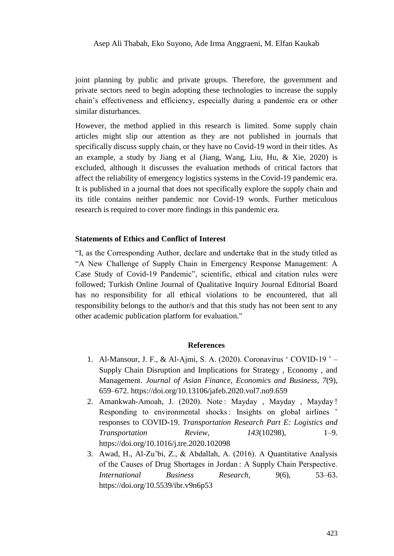Asep Ali Thabah, Eko Suyono, Ade Irma Anggraeni, M. Elfan Kaukab

joint planning by public and private groups. Therefore, the government and private sectors need to begin adopting these technologies to increase the supply chain's effectiveness and efficiency, especially during a pandemic era or other similar disturbances.

However, the method applied in this research is limited. Some supply chain articles might slip our attention as they are not published in journals that specifically discuss supply chain, or they have no Covid-19 word in their titles. As an example, a study by Jiang et al (Jiang, Wang, Liu, Hu, & Xie, 2020) is excluded, although it discusses the evaluation methods of critical factors that affect the reliability of emergency logistics systems in the Covid-19 pandemic era. It is published in a journal that does not specifically explore the supply chain and its title contains neither pandemic nor Covid-19 words. Further meticulous research is required to cover more findings in this pandemic era.

### **Statements of Ethics and Conflict of Interest**

―I, as the Corresponding Author, declare and undertake that in the study titled as ―A New Challenge of Supply Chain in Emergency Response Management: A Case Study of Covid-19 Pandemic", scientific, ethical and citation rules were followed; Turkish Online Journal of Qualitative Inquiry Journal Editorial Board has no responsibility for all ethical violations to be encountered, that all responsibility belongs to the author/s and that this study has not been sent to any other academic publication platform for evaluation."

#### **References**

- 1. Al-Mansour, J. F., & Al-Ajmi, S. A. (2020). Coronavirus 'COVID-19 ' Supply Chain Disruption and Implications for Strategy , Economy , and Management. *Journal of Asian Finance, Economics and Business*, *7*(9), 659–672. https://doi.org/10.13106/jafeb.2020.vol7.no9.659
- 2. Amankwah-Amoah, J. (2020). Note : Mayday , Mayday , Mayday ! Responding to environmental shocks : Insights on global airlines ' responses to COVID-19. *Transportation Research Part E: Logistics and Transportation Review*, *143*(10298), 1–9. https://doi.org/10.1016/j.tre.2020.102098
- 3. Awad, H., Al-Zu'bi, Z., & Abdallah, A. (2016). A Quantitative Analysis of the Causes of Drug Shortages in Jordan : A Supply Chain Perspective. *International Business Research*, *9*(6), 53–63. https://doi.org/10.5539/ibr.v9n6p53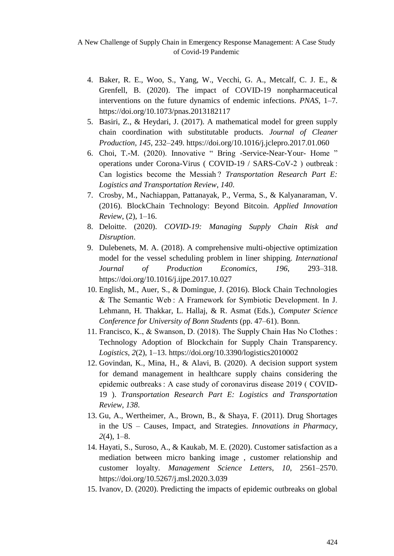- 4. Baker, R. E., Woo, S., Yang, W., Vecchi, G. A., Metcalf, C. J. E., & Grenfell, B. (2020). The impact of COVID-19 nonpharmaceutical interventions on the future dynamics of endemic infections. *PNAS*, 1–7. https://doi.org/10.1073/pnas.2013182117
- 5. Basiri, Z., & Heydari, J. (2017). A mathematical model for green supply chain coordination with substitutable products. *Journal of Cleaner Production*, *145*, 232–249. https://doi.org/10.1016/j.jclepro.2017.01.060
- 6. Choi, T.-M. (2020). Innovative " Bring -Service-Near-Your- Home " operations under Corona-Virus ( COVID-19 / SARS-CoV-2 ) outbreak : Can logistics become the Messiah ? *Transportation Research Part E: Logistics and Transportation Review*, *140*.
- 7. Crosby, M., Nachiappan, Pattanayak, P., Verma, S., & Kalyanaraman, V. (2016). BlockChain Technology: Beyond Bitcoin. *Applied Innovation Review*, (2), 1–16.
- 8. Deloitte. (2020). *COVID-19: Managing Supply Chain Risk and Disruption*.
- 9. Dulebenets, M. A. (2018). A comprehensive multi-objective optimization model for the vessel scheduling problem in liner shipping. *International Journal of Production Economics*, *196*, 293–318. https://doi.org/10.1016/j.ijpe.2017.10.027
- 10. English, M., Auer, S., & Domingue, J. (2016). Block Chain Technologies & The Semantic Web : A Framework for Symbiotic Development. In J. Lehmann, H. Thakkar, L. Hallaj, & R. Asmat (Eds.), *Computer Science Conference for University of Bonn Students* (pp. 47–61). Bonn.
- 11. Francisco, K., & Swanson, D. (2018). The Supply Chain Has No Clothes : Technology Adoption of Blockchain for Supply Chain Transparency. *Logistics*, *2*(2), 1–13. https://doi.org/10.3390/logistics2010002
- 12. Govindan, K., Mina, H., & Alavi, B. (2020). A decision support system for demand management in healthcare supply chains considering the epidemic outbreaks : A case study of coronavirus disease 2019 ( COVID-19 ). *Transportation Research Part E: Logistics and Transportation Review*, *138*.
- 13. Gu, A., Wertheimer, A., Brown, B., & Shaya, F. (2011). Drug Shortages in the US – Causes, Impact, and Strategies. *Innovations in Pharmacy*, *2*(4), 1–8.
- 14. Hayati, S., Suroso, A., & Kaukab, M. E. (2020). Customer satisfaction as a mediation between micro banking image , customer relationship and customer loyalty. *Management Science Letters*, *10*, 2561–2570. https://doi.org/10.5267/j.msl.2020.3.039
- 15. Ivanov, D. (2020). Predicting the impacts of epidemic outbreaks on global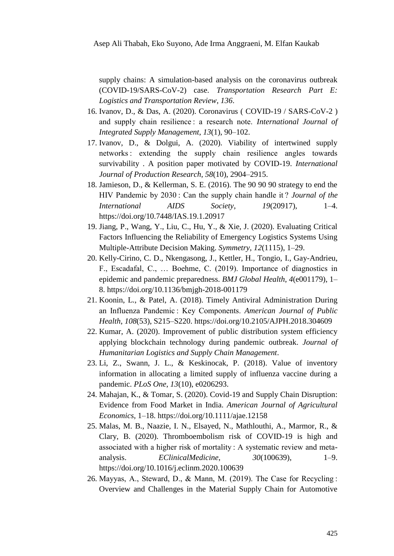supply chains: A simulation-based analysis on the coronavirus outbreak (COVID-19/SARS-CoV-2) case. *Transportation Research Part E: Logistics and Transportation Review*, *136*.

- 16. Ivanov, D., & Das, A. (2020). Coronavirus ( COVID-19 / SARS-CoV-2 ) and supply chain resilience : a research note. *International Journal of Integrated Supply Management*, *13*(1), 90–102.
- 17. Ivanov, D., & Dolgui, A. (2020). Viability of intertwined supply networks : extending the supply chain resilience angles towards survivability . A position paper motivated by COVID-19. *International Journal of Production Research*, *58*(10), 2904–2915.
- 18. Jamieson, D., & Kellerman, S. E. (2016). The 90 90 90 strategy to end the HIV Pandemic by 2030 : Can the supply chain handle it ? *Journal of the International AIDS Society*, *19*(20917), 1–4. https://doi.org/10.7448/IAS.19.1.20917
- 19. Jiang, P., Wang, Y., Liu, C., Hu, Y., & Xie, J. (2020). Evaluating Critical Factors Influencing the Reliability of Emergency Logistics Systems Using Multiple-Attribute Decision Making. *Symmetry*, *12*(1115), 1–29.
- 20. Kelly-Cirino, C. D., Nkengasong, J., Kettler, H., Tongio, I., Gay-Andrieu, F., Escadafal, C., … Boehme, C. (2019). Importance of diagnostics in epidemic and pandemic preparedness. *BMJ Global Health*, *4*(e001179), 1– 8. https://doi.org/10.1136/bmjgh-2018-001179
- 21. Koonin, L., & Patel, A. (2018). Timely Antiviral Administration During an Influenza Pandemic : Key Components. *American Journal of Public Health*, *108*(53), S215–S220. https://doi.org/10.2105/AJPH.2018.304609
- 22. Kumar, A. (2020). Improvement of public distribution system efficiency applying blockchain technology during pandemic outbreak. *Journal of Humanitarian Logistics and Supply Chain Management*.
- 23. Li, Z., Swann, J. L., & Keskinocak, P. (2018). Value of inventory information in allocating a limited supply of influenza vaccine during a pandemic. *PLoS One*, *13*(10), e0206293.
- 24. Mahajan, K., & Tomar, S. (2020). Covid-19 and Supply Chain Disruption: Evidence from Food Market in India. *American Journal of Agricultural Economics*, 1–18. https://doi.org/10.1111/ajae.12158
- 25. Malas, M. B., Naazie, I. N., Elsayed, N., Mathlouthi, A., Marmor, R., & Clary, B. (2020). Thromboembolism risk of COVID-19 is high and associated with a higher risk of mortality : A systematic review and metaanalysis. *EClinicalMedicine*, *30*(100639), 1–9. https://doi.org/10.1016/j.eclinm.2020.100639
- 26. Mayyas, A., Steward, D., & Mann, M. (2019). The Case for Recycling : Overview and Challenges in the Material Supply Chain for Automotive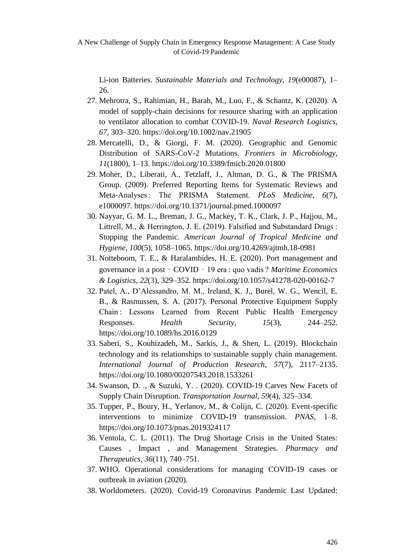Li-ion Batteries. *Sustainable Materials and Technology*, *19*(e00087), 1– 26.

- 27. Mehrotra, S., Rahimian, H., Barah, M., Luo, F., & Schantz, K. (2020). A model of supply-chain decisions for resource sharing with an application to ventilator allocation to combat COVID-19. *Naval Research Logistics*, *67*, 303–320. https://doi.org/10.1002/nav.21905
- 28. Mercatelli, D., & Giorgi, F. M. (2020). Geographic and Genomic Distribution of SARS-CoV-2 Mutations. *Frontiers in Microbiology*, *11*(1800), 1–13. https://doi.org/10.3389/fmicb.2020.01800
- 29. Moher, D., Liberati, A., Tetzlaff, J., Altman, D. G., & The PRISMA Group. (2009). Preferred Reporting Items for Systematic Reviews and Meta-Analyses : The PRISMA Statement. *PLoS Medicine*, *6*(7), e1000097. https://doi.org/10.1371/journal.pmed.1000097
- 30. Nayyar, G. M. L., Breman, J. G., Mackey, T. K., Clark, J. P., Hajjou, M., Littrell, M., & Herrington, J. E. (2019). Falsified and Substandard Drugs : Stopping the Pandemic. *American Journal of Tropical Medicine and Hygiene*, *100*(5), 1058–1065. https://doi.org/10.4269/ajtmh.18-0981
- 31. Notteboom, T. E., & Haralambides, H. E. (2020). Port management and governance in a post ‑ COVID ‑ 19 era : quo vadis ? *Maritime Economics & Logistics*, *22*(3), 329–352. https://doi.org/10.1057/s41278-020-00162-7
- 32. Patel, A., D'Alessandro, M. M., Ireland, K. J., Burel, W. G., Wencil, E. B., & Rasmussen, S. A. (2017). Personal Protective Equipment Supply Chain : Lessons Learned from Recent Public Health Emergency Responses. *Health Security*, *15*(3), 244–252. https://doi.org/10.1089/hs.2016.0129
- 33. Saberi, S., Kouhizadeh, M., Sarkis, J., & Shen, L. (2019). Blockchain technology and its relationships to sustainable supply chain management. *International Journal of Production Research*, *57*(7), 2117–2135. https://doi.org/10.1080/00207543.2018.1533261
- 34. Swanson, D. ., & Suzuki, Y. . (2020). COVID-19 Carves New Facets of Supply Chain Disruption. *Transportation Journal*, *59*(4), 325–334.
- 35. Tupper, P., Boury, H., Yerlanov, M., & Colijn, C. (2020). Event-specific interventions to minimize COVID-19 transmission. *PNAS*, 1–8. https://doi.org/10.1073/pnas.2019324117
- 36. Ventola, C. L. (2011). The Drug Shortage Crisis in the United States: Causes , Impact , and Management Strategies. *Pharmacy and Therapeutics*, *36*(11), 740–751.
- 37. WHO. Operational considerations for managing COVID-19 cases or outbreak in aviation (2020).
- 38. Worldometers. (2020). Covid-19 Coronavirus Pandemic Last Updated: